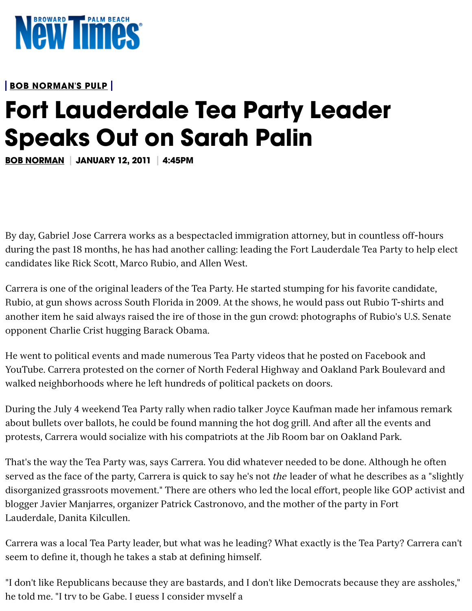

**BOB [NORMAN'S](https://www.browardpalmbeach.com/topic/bob-normans-pulp-6386396) PULP**

## **Fort Lauderdale Tea Party Leader Speaks Out on Sarah Palin**

**[BOB NORMAN](https://www.browardpalmbeach.com/author/bob-norman) JANUARY 12, 2011 4:45PM**

By day, Gabriel Jose Carrera works as a bespectacled immigration attorney, but in countless off-hours during the past 18 months, he has had another calling: leading the Fort Lauderdale Tea Party to help elect candidates like Rick Scott, Marco Rubio, and Allen West.

Carrera is one of the original leaders of the Tea Party. He started stumping for his favorite candidate, Rubio, at gun shows across South Florida in 2009. At the shows, he would pass out Rubio T-shirts and another item he said always raised the ire of those in the gun crowd: photographs of Rubio's U.S. Senate opponent Charlie Crist hugging Barack Obama.

He went to political events and made numerous Tea Party videos that he posted on Facebook and YouTube. Carrera protested on the corner of North Federal Highway and Oakland Park Boulevard and walked neighborhoods where he left hundreds of political packets on doors.

During the July 4 weekend Tea Party rally when radio talker Joyce Kaufman made her infamous remark about bullets over ballots, he could be found manning the hot dog grill. And after all the events and protests, Carrera would socialize with his compatriots at the Jib Room bar on Oakland Park.

That's the way the Tea Party was, says Carrera. You did whatever needed to be done. Although he often served as the face of the party, Carrera is quick to say he's not *the* leader of what he describes as a "slightly disorganized grassroots movement." There are others who led the local effort, people like GOP activist and blogger Javier Manjarres, organizer Patrick Castronovo, and the mother of the party in Fort Lauderdale, Danita Kilcullen.

Carrera was a local Tea Party leader, but what was he leading? What exactly is the Tea Party? Carrera can't seem to define it, though he takes a stab at defining himself.

"I don't like Republicans because they are bastards, and I don't like Democrats because they are assholes," he told me. "I try to be Gabe. I guess I consider myself a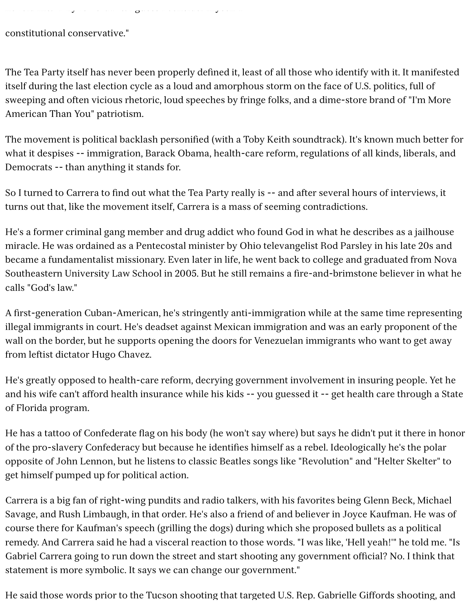here to be Gabe. I try to be  $G$  and  $\mathcal{A}$  and  $\mathcal{A}$ 

constitutional conservative."

The Tea Party itself has never been properly defined it, least of all those who identify with it. It manifested itself during the last election cycle as a loud and amorphous storm on the face of U.S. politics, full of sweeping and often vicious rhetoric, loud speeches by fringe folks, and a dime-store brand of "I'm More American Than You" patriotism.

The movement is political backlash personified (with a Toby Keith soundtrack). It's known much better for what it despises -- immigration, Barack Obama, health-care reform, regulations of all kinds, liberals, and Democrats -- than anything it stands for.

So I turned to Carrera to find out what the Tea Party really is -- and after several hours of interviews, it turns out that, like the movement itself, Carrera is a mass of seeming contradictions.

He's a former criminal gang member and drug addict who found God in what he describes as a jailhouse miracle. He was ordained as a Pentecostal minister by Ohio televangelist Rod Parsley in his late 20s and became a fundamentalist missionary. Even later in life, he went back to college and graduated from Nova Southeastern University Law School in 2005. But he still remains a fire-and-brimstone believer in what he calls "God's law."

A first-generation Cuban-American, he's stringently anti-immigration while at the same time representing illegal immigrants in court. He's deadset against Mexican immigration and was an early proponent of the wall on the border, but he supports opening the doors for Venezuelan immigrants who want to get away from leftist dictator Hugo Chavez.

He's greatly opposed to health-care reform, decrying government involvement in insuring people. Yet he and his wife can't afford health insurance while his kids -- you guessed it -- get health care through a State of Florida program.

He has a tattoo of Confederate flag on his body (he won't say where) but says he didn't put it there in honor of the pro-slavery Confederacy but because he identifies himself as a rebel. Ideologically he's the polar opposite of John Lennon, but he listens to classic Beatles songs like "Revolution" and "Helter Skelter" to get himself pumped up for political action.

Carrera is a big fan of right-wing pundits and radio talkers, with his favorites being Glenn Beck, Michael Savage, and Rush Limbaugh, in that order. He's also a friend of and believer in Joyce Kaufman. He was of course there for Kaufman's speech (grilling the dogs) during which she proposed bullets as a political remedy. And Carrera said he had a visceral reaction to those words. "I was like, 'Hell yeah!'" he told me. "Is Gabriel Carrera going to run down the street and start shooting any government official? No. I think that statement is more symbolic. It says we can change our government."

He said those words prior to the Tucson shooting that targeted U.S. Rep. Gabrielle Giffords shooting, and